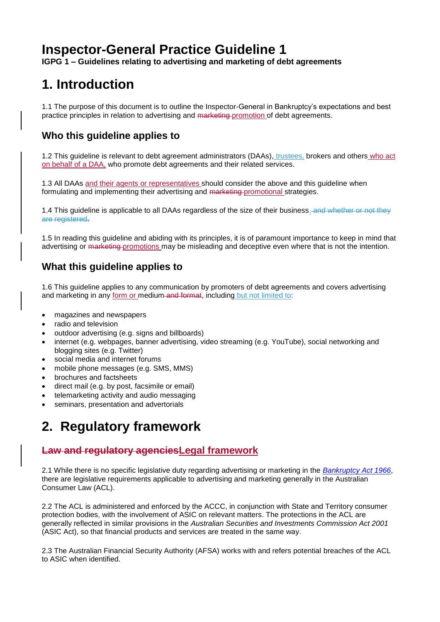## **Inspector-General Practice Guideline 1**

**IGPG 1 – Guidelines relating to advertising and marketing of debt agreements** 

## **1. Introduction**

1.1 The purpose of this document is to outline the Inspector-General in Bankruptcy's expectations and best practice principles in relation to advertising and marketing promotion of debt agreements.

## **Who this guideline applies to**

1.2 This guideline is relevant to debt agreement administrators (DAAs), trustees, brokers and others who act on behalf of a DAA, who promote debt agreements and their related services.

1.3 All DAAs and their agents or representatives should consider the above and this guideline when formulating and implementing their advertising and marketing promotional strategies.

1.4 This guideline is applicable to all DAAs regardless of the size of their business. and whether or not they are registered.

1.5 In reading this guideline and abiding with its principles, it is of paramount importance to keep in mind that advertising or marketing promotions may be misleading and deceptive even where that is not the intention.

### **What this guideline applies to**

1.6 This guideline applies to any communication by promoters of debt agreements and covers advertising and marketing in any form or medium and format, including but not limited to:

- magazines and newspapers
- radio and television
- outdoor advertising (e.g. signs and billboards)
- internet (e.g. webpages, banner advertising, video streaming (e.g. YouTube), social networking and blogging sites (e.g. Twitter)
- social media and internet forums
- mobile phone messages (e.g. SMS, MMS)
- brochures and factsheets
- direct mail (e.g. by post, facsimile or email)
- telemarketing activity and audio messaging
- seminars, presentation and advertorials

## **2. Regulatory framework**

## **Law and regulatory agenciesLegal framework**

2.1 While there is no specific legislative duty regarding advertising or marketing in the *[Bankruptcy Act 1966](http://www.comlaw.gov.au/Series/C1966A00033)*, there are legislative requirements applicable to advertising and marketing generally in the Australian Consumer Law (ACL).

2.2 The ACL is administered and enforced by the ACCC, in conjunction with State and Territory consumer protection bodies, with the involvement of ASIC on relevant matters. The protections in the ACL are generally reflected in similar provisions in the *Australian Securities and Investments Commission Act 2001* (ASIC Act), so that financial products and services are treated in the same way.

2.3 The Australian Financial Security Authority (AFSA) works with and refers potential breaches of the ACL to ASIC when identified.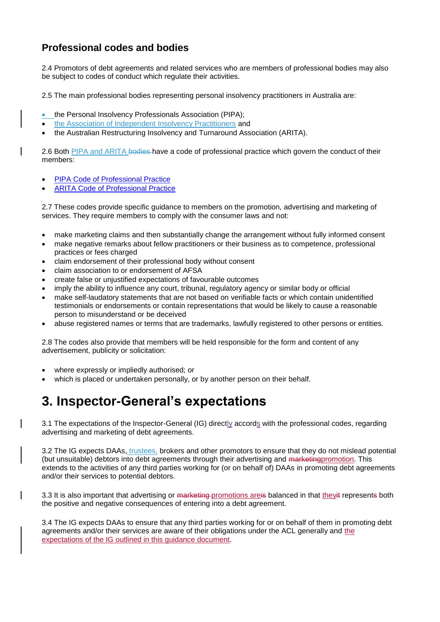### **Professional codes and bodies**

2.4 Promotors of debt agreements and related services who are members of professional bodies may also be subject to codes of conduct which regulate their activities.

2.5 The main professional bodies representing personal insolvency practitioners in Australia are:

- the Personal Insolvency Professionals Association (PIPA);
- the Association of Independent Insolvency Practitioners and
- the Australian Restructuring Insolvency and Turnaround Association (ARITA).

2.6 Both PIPA and ARITA bodies have a code of professional practice which govern the conduct of their members:

- [PIPA Code of Professional Practice](http://www.pipa.net.au/component/phocadownload/category/8-public-documents.html?download=25:pipa-code-of-conduct)
- [ARITA Code of Professional Practice](http://www.arita.com.au/docs/default-source/code-third-edition-2014/009b-code-3rd-edition---final-arita-version-v3.pdf?sfvrsn=0)

2.7 These codes provide specific guidance to members on the promotion, advertising and marketing of services. They require members to comply with the consumer laws and not:

- make marketing claims and then substantially change the arrangement without fully informed consent
- make negative remarks about fellow practitioners or their business as to competence, professional practices or fees charged
- claim endorsement of their professional body without consent
- claim association to or endorsement of AFSA
- create false or unjustified expectations of favourable outcomes
- imply the ability to influence any court, tribunal, regulatory agency or similar body or official
- make self-laudatory statements that are not based on verifiable facts or which contain unidentified testimonials or endorsements or contain representations that would be likely to cause a reasonable person to misunderstand or be deceived
- abuse registered names or terms that are trademarks, lawfully registered to other persons or entities.

2.8 The codes also provide that members will be held responsible for the form and content of any advertisement, publicity or solicitation:

- where expressly or impliedly authorised; or
- which is placed or undertaken personally, or by another person on their behalf.

## **3. Inspector-General's expectations**

3.1 The expectations of the Inspector-General (IG) directly accords with the professional codes, regarding advertising and marketing of debt agreements.

3.2 The IG expects DAAs, trustees, brokers and other promotors to ensure that they do not mislead potential (but unsuitable) debtors into debt agreements through their advertising and marketing promotion. This extends to the activities of any third parties working for (or on behalf of) DAAs in promoting debt agreements and/or their services to potential debtors.

3.3 It is also important that advertising or marketing promotions are is balanced in that they it represents both the positive and negative consequences of entering into a debt agreement.

3.4 The IG expects DAAs to ensure that any third parties working for or on behalf of them in promoting debt agreements and/or their services are aware of their obligations under the ACL generally and the expectations of the IG outlined in this guidance document.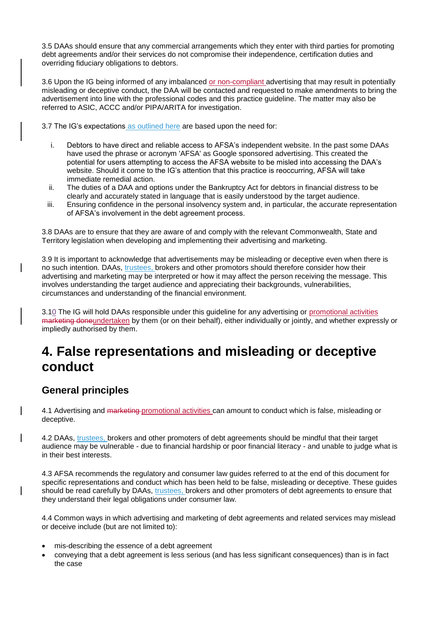3.5 DAAs should ensure that any commercial arrangements which they enter with third parties for promoting debt agreements and/or their services do not compromise their independence, certification duties and overriding fiduciary obligations to debtors.

3.6 Upon the IG being informed of any imbalanced or non-compliant advertising that may result in potentially misleading or deceptive conduct, the DAA will be contacted and requested to make amendments to bring the advertisement into line with the professional codes and this practice guideline. The matter may also be referred to ASIC, ACCC and/or PIPA/ARITA for investigation.

3.7 The IG's expectations as outlined here are based upon the need for:

- i. Debtors to have direct and reliable access to AFSA's independent website. In the past some DAAs have used the phrase or acronym 'AFSA' as Google sponsored advertising. This created the potential for users attempting to access the AFSA website to be misled into accessing the DAA's website. Should it come to the IG's attention that this practice is reoccurring, AFSA will take immediate remedial action.
- ii. The duties of a DAA and options under the Bankruptcy Act for debtors in financial distress to be clearly and accurately stated in language that is easily understood by the target audience.
- iii. Ensuring confidence in the personal insolvency system and, in particular, the accurate representation of AFSA's involvement in the debt agreement process.

3.8 DAAs are to ensure that they are aware of and comply with the relevant Commonwealth, State and Territory legislation when developing and implementing their advertising and marketing.

3.9 It is important to acknowledge that advertisements may be misleading or deceptive even when there is no such intention. DAAs, trustees, brokers and other promotors should therefore consider how their advertising and marketing may be interpreted or how it may affect the person receiving the message. This involves understanding the target audience and appreciating their backgrounds, vulnerabilities, circumstances and understanding of the financial environment.

3.10 The IG will hold DAAs responsible under this guideline for any advertising or promotional activities marketing doneundertaken by them (or on their behalf), either individually or jointly, and whether expressly or impliedly authorised by them.

## **4. False representations and misleading or deceptive conduct**

#### **General principles**

4.1 Advertising and marketing promotional activities can amount to conduct which is false, misleading or deceptive.

4.2 DAAs, trustees, brokers and other promoters of debt agreements should be mindful that their target audience may be vulnerable - due to financial hardship or poor financial literacy - and unable to judge what is in their best interests.

4.3 AFSA recommends the regulatory and consumer law guides referred to at the end of this document for specific representations and conduct which has been held to be false, misleading or deceptive. These guides should be read carefully by DAAs, trustees, brokers and other promoters of debt agreements to ensure that they understand their legal obligations under consumer law.

4.4 Common ways in which advertising and marketing of debt agreements and related services may mislead or deceive include (but are not limited to):

- mis-describing the essence of a debt agreement
- conveying that a debt agreement is less serious (and has less significant consequences) than is in fact the case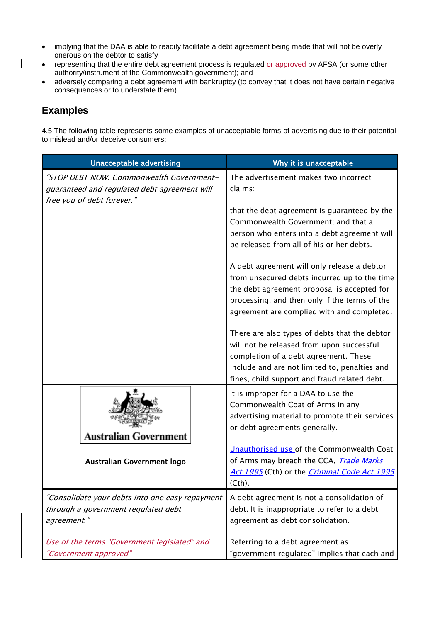- implying that the DAA is able to readily facilitate a debt agreement being made that will not be overly onerous on the debtor to satisfy
- representing that the entire debt agreement process is regulated or approved by AFSA (or some other authority/instrument of the Commonwealth government); and
- adversely comparing a debt agreement with bankruptcy (to convey that it does not have certain negative consequences or to understate them).

### **Examples**

 $\overline{\phantom{a}}$ 

4.5 The following table represents some examples of unacceptable forms of advertising due to their potential to mislead and/or deceive consumers:

| <b>Unacceptable advertising</b>                                                                                        | Why it is unacceptable                                                                                                                                                                                                                    |
|------------------------------------------------------------------------------------------------------------------------|-------------------------------------------------------------------------------------------------------------------------------------------------------------------------------------------------------------------------------------------|
| "STOP DEBT NOW. Commonwealth Government-<br>guaranteed and regulated debt agreement will<br>free you of debt forever." | The advertisement makes two incorrect<br>claims:                                                                                                                                                                                          |
|                                                                                                                        | that the debt agreement is guaranteed by the<br>Commonwealth Government; and that a<br>person who enters into a debt agreement will<br>be released from all of his or her debts.                                                          |
|                                                                                                                        | A debt agreement will only release a debtor<br>from unsecured debts incurred up to the time<br>the debt agreement proposal is accepted for<br>processing, and then only if the terms of the<br>agreement are complied with and completed. |
|                                                                                                                        | There are also types of debts that the debtor<br>will not be released from upon successful<br>completion of a debt agreement. These<br>include and are not limited to, penalties and<br>fines, child support and fraud related debt.      |
| Australian Government                                                                                                  | It is improper for a DAA to use the<br>Commonwealth Coat of Arms in any<br>advertising material to promote their services<br>or debt agreements generally.                                                                                |
| Australian Government logo                                                                                             | Unauthorised use of the Commonwealth Coat<br>of Arms may breach the CCA, <i>Trade Marks</i><br>Act 1995 (Cth) or the <i>Criminal Code Act 1995</i><br>(Cth).                                                                              |
| "Consolidate your debts into one easy repayment<br>through a government regulated debt<br>agreement."                  | A debt agreement is not a consolidation of<br>debt. It is inappropriate to refer to a debt<br>agreement as debt consolidation.                                                                                                            |
| Use of the terms "Government legislated" and<br><u> "Government approved"</u>                                          | Referring to a debt agreement as<br>"government regulated" implies that each and                                                                                                                                                          |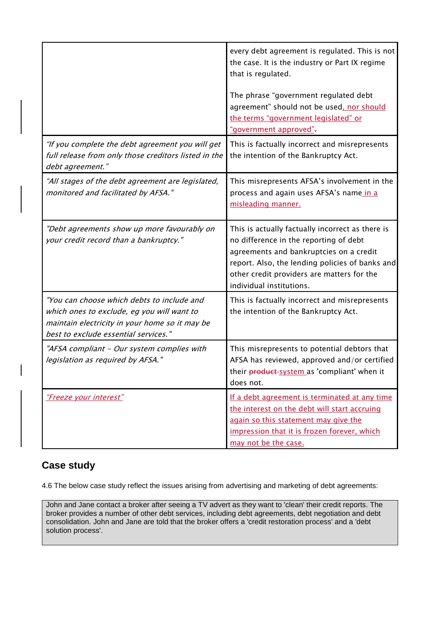|                                                                                                                                                                                    | every debt agreement is regulated. This is not<br>the case. It is the industry or Part IX regime<br>that is regulated.                                                                                                                                             |
|------------------------------------------------------------------------------------------------------------------------------------------------------------------------------------|--------------------------------------------------------------------------------------------------------------------------------------------------------------------------------------------------------------------------------------------------------------------|
|                                                                                                                                                                                    | The phrase "government regulated debt<br>agreement" should not be used, nor should<br>the terms "government legislated" or<br>"government approved"-                                                                                                               |
| "If you complete the debt agreement you will get<br>full release from only those creditors listed in the<br>debt agreement."                                                       | This is factually incorrect and misrepresents<br>the intention of the Bankruptcy Act.                                                                                                                                                                              |
| "All stages of the debt agreement are legislated,<br>monitored and facilitated by AFSA."                                                                                           | This misrepresents AFSA's involvement in the<br>process and again uses AFSA's name in a<br>misleading manner.                                                                                                                                                      |
| "Debt agreements show up more favourably on<br>your credit record than a bankruptcy."                                                                                              | This is actually factually incorrect as there is<br>no difference in the reporting of debt<br>agreements and bankruptcies on a credit<br>report. Also, the lending policies of banks and<br>other credit providers are matters for the<br>individual institutions. |
| "You can choose which debts to include and<br>which ones to exclude, eg you will want to<br>maintain electricity in your home so it may be<br>best to exclude essential services." | This is factually incorrect and misrepresents<br>the intention of the Bankruptcy Act.                                                                                                                                                                              |
| "AFSA compliant - Our system complies with<br>legislation as required by AFSA."                                                                                                    | This misrepresents to potential debtors that<br>AFSA has reviewed, approved and/or certified<br>their product-system as 'compliant' when it<br>does not.                                                                                                           |
| "Freeze your interest"                                                                                                                                                             | If a debt agreement is terminated at any time<br>the interest on the debt will start accruing<br>again so this statement may give the<br>impression that it is frozen forever, which<br>may not be the case.                                                       |

## **Case study**

4.6 The below case study reflect the issues arising from advertising and marketing of debt agreements:

John and Jane contact a broker after seeing a TV advert as they want to 'clean' their credit reports. The broker provides a number of other debt services, including debt agreements, debt negotiation and debt consolidation. John and Jane are told that the broker offers a 'credit restoration process' and a 'debt solution process'.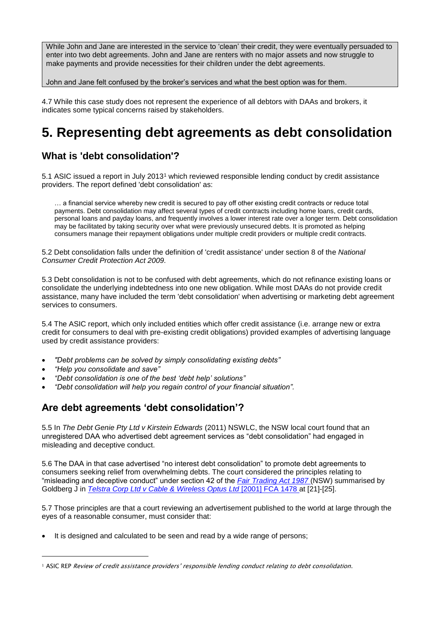While John and Jane are interested in the service to 'clean' their credit, they were eventually persuaded to enter into two debt agreements. John and Jane are renters with no major assets and now struggle to make payments and provide necessities for their children under the debt agreements.

John and Jane felt confused by the broker's services and what the best option was for them.

4.7 While this case study does not represent the experience of all debtors with DAAs and brokers, it indicates some typical concerns raised by stakeholders.

## **5. Representing debt agreements as debt consolidation**

## **What is 'debt consolidation'?**

5.1 ASIC issued a report in July 2013<sup>1</sup> which reviewed responsible lending conduct by credit assistance providers. The report defined 'debt consolidation' as:

… a financial service whereby new credit is secured to pay off other existing credit contracts or reduce total payments. Debt consolidation may affect several types of credit contracts including home loans, credit cards, personal loans and payday loans, and frequently involves a lower interest rate over a longer term. Debt consolidation may be facilitated by taking security over what were previously unsecured debts. It is promoted as helping consumers manage their repayment obligations under multiple credit providers or multiple credit contracts.

5.2 Debt consolidation falls under the definition of 'credit assistance' under section 8 of the *National Consumer Credit Protection Act 2009.*

5.3 Debt consolidation is not to be confused with debt agreements, which do not refinance existing loans or consolidate the underlying indebtedness into one new obligation. While most DAAs do not provide credit assistance, many have included the term 'debt consolidation' when advertising or marketing debt agreement services to consumers.

5.4 The ASIC report, which only included entities which offer credit assistance (i.e. arrange new or extra credit for consumers to deal with pre-existing credit obligations) provided examples of advertising language used by credit assistance providers:

- *"Debt problems can be solved by simply consolidating existing debts"*
- *"Help you consolidate and save"*

1

- *"Debt consolidation is one of the best 'debt help' solutions"*
- *"Debt consolidation will help you regain control of your financial situation".*

#### **Are debt agreements 'debt consolidation'?**

5.5 In *The Debt Genie Pty Ltd v Kirstein Edwards* (2011) NSWLC, the NSW local court found that an unregistered DAA who advertised debt agreement services as "debt consolidation" had engaged in misleading and deceptive conduct.

5.6 The DAA in that case advertised "no interest debt consolidation" to promote debt agreements to consumers seeking relief from overwhelming debts. The court considered the principles relating to "misleading and deceptive conduct" under section 42 of the *[Fair Trading Act 1987](http://www.legislation.nsw.gov.au/maintop/view/inforce/act+68+1987+cd+0+N)* (NSW) summarised by Goldberg J in *[Telstra Corp Ltd v Cable & Wireless Optus Ltd](http://www.austlii.edu.au/cgi-bin/sinodisp/au/cases/cth/FCA/2001/1478.html?stem=0&synonyms=0&query=title(%222001%20FCA%201478%22))* [2001] FCA 1478 at [21]-[25].

5.7 Those principles are that a court reviewing an advertisement published to the world at large through the eyes of a reasonable consumer, must consider that:

It is designed and calculated to be seen and read by a wide range of persons;

<sup>&</sup>lt;sup>1</sup> ASIC REP Review of credit assistance providers' responsible lending conduct relating to debt consolidation.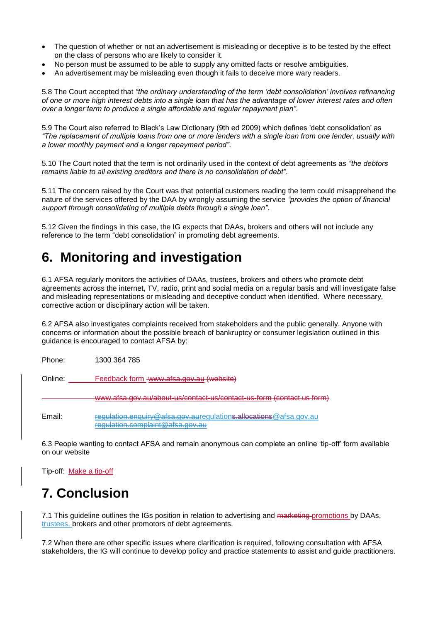- The question of whether or not an advertisement is misleading or deceptive is to be tested by the effect on the class of persons who are likely to consider it.
- No person must be assumed to be able to supply any omitted facts or resolve ambiguities.
- An advertisement may be misleading even though it fails to deceive more wary readers.

5.8 The Court accepted that *"the ordinary understanding of the term 'debt consolidation' involves refinancing of one or more high interest debts into a single loan that has the advantage of lower interest rates and often over a longer term to produce a single affordable and regular repayment plan"*.

5.9 The Court also referred to Black's Law Dictionary (9th ed 2009) which defines 'debt consolidation' as *"The replacement of multiple loans from one or more lenders with a single loan from one lender, usually with a lower monthly payment and a longer repayment period"*.

5.10 The Court noted that the term is not ordinarily used in the context of debt agreements as *"the debtors remains liable to all existing creditors and there is no consolidation of debt"*.

5.11 The concern raised by the Court was that potential customers reading the term could misapprehend the nature of the services offered by the DAA by wrongly assuming the service *"provides the option of financial support through consolidating of multiple debts through a single loan"*.

5.12 Given the findings in this case, the IG expects that DAAs, brokers and others will not include any reference to the term "debt consolidation" in promoting debt agreements.

## **6. Monitoring and investigation**

6.1 AFSA regularly monitors the activities of DAAs, trustees, brokers and others who promote debt agreements across the internet, TV, radio, print and social media on a regular basis and will investigate false and misleading representations or misleading and deceptive conduct when identified. Where necessary, corrective action or disciplinary action will be taken.

6.2 AFSA also investigates complaints received from stakeholders and the public generally. Anyone with concerns or information about the possible breach of bankruptcy or consumer legislation outlined in this guidance is encouraged to contact AFSA by:

Phone: 1300 364 785

Online: [Feedback form](https://services.afsa.gov.au/frevvo/web/public/tn/external/user/frevvodesigner1/app/_qhjlgErmEeW6pf_hWpne-g/formtype/_x80xwJQQEeaNFZcSh8LzvA/popupform) www.afsa.gov.au (website)

www.afsa.gov.au/about-us/contact-us/contact-us-form (contact us form)

Email: regulation.enquiry@afsa.gov.auregulations.allocations@afsa.gov.au regulation.complaint@afsa.gov.au

6.3 People wanting to contact AFSA and remain anonymous can complete an online 'tip-off' form available on our website

Tip-off: [Make a tip-off](http://services.afsa.gov.au/frevvo/web/public/tn/external/user/frevvodesigner1/app/_BrB7IP0jEeWi7Ya1-4EKyQ/formtype/_dzjgwA2lEeajXNe9QS3Iiw/popupform)

## **7. Conclusion**

7.1 This guideline outlines the IGs position in relation to advertising and marketing promotions by DAAs, trustees, brokers and other promotors of debt agreements.

7.2 When there are other specific issues where clarification is required, following consultation with AFSA stakeholders, the IG will continue to develop policy and practice statements to assist and guide practitioners.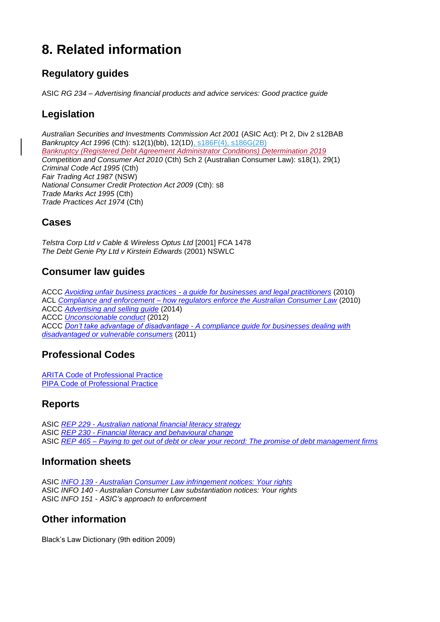## **8. Related information**

## **Regulatory guides**

ASIC *RG 234 – Advertising financial products and advice services: Good practice guide*

## **Legislation**

*Australian Securities and Investments Commission Act 2001* (ASIC Act): Pt 2, Div 2 s12BAB *Bankruptcy Act 1996* (Cth): s12(1)(bb), 12(1D), s186F(4), s186G(2B) *Bankruptcy (Registered Debt Agreement Administrator Conditions) Determination 2019 Competition and Consumer Act 2010* (Cth) Sch 2 (Australian Consumer Law): s18(1), 29(1) *Criminal Code Act 1995* (Cth) *Fair Trading Act 1987* (NSW) *National Consumer Credit Protection Act 2009* (Cth): s8 *Trade Marks Act 1995* (Cth) *Trade Practices Act 1974* (Cth)

### **Cases**

*Telstra Corp Ltd v Cable & Wireless Optus Ltd* [2001] FCA 1478 *The Debt Genie Pty Ltd v Kirstein Edwards* (2001) NSWLC

### **Consumer law guides**

ACCC *Avoiding unfair business practices - [a guide for businesses and legal practitioners](http://www.accc.gov.au/system/files/Avoiding%20Unfair%20Business%20Practices%20a%20guide%20for%20businesses%20and%20legal%20practitioners.pdf)* (2010) ACL *Compliance and enforcement – [how regulators enforce the Australian Consumer Law](http://consumerlaw.gov.au/files/2015/09/compliance_enforcement_guide.pdf)* (2010) ACCC *[Advertising and selling guide](http://www.accc.gov.au/system/files/722_Advertising%20and%20selling_FA_2015.pdf)* (2014) ACCC *[Unconscionable conduct](http://www.accc.gov.au/system/files/482_Business%20Snapshot_Unconscionable%20conduct_FA2.pdf)* (2012) ACCC *Don't take advantage of disadvantage - [A compliance guide for businesses dealing with](https://www.accc.gov.au/system/files/217_%20BS%20Don)  [disadvantaged or vulnerable consumers](https://www.accc.gov.au/system/files/217_%20BS%20Don)* (2011)

## **Professional Codes**

[ARITA Code of Professional Practice](http://www.arita.com.au/docs/default-source/code-third-edition-2014/009b-code-3rd-edition---final-arita-version-v3.pdf?sfvrsn=0) [PIPA Code of Professional Practice](https://www.pipa.net.au/component/phocadownload/category/8-public-documents.html?download=25:pipa-code-of-conduct)

#### **Reports**

ASIC *REP 229 - [Australian national financial literacy strategy](http://download.asic.gov.au/media/1343576/rep229-national-financial-literacy-strategy.pdf)* ASIC *REP 230 - [Financial literacy and behavioural change](http://www.financialliteracy.gov.au/media/218309/financial-literacy-and-behavioural-change.pdf)* ASIC *REP 465 – [Paying to get out of debt or clear your record: The promise of debt management firms](http://download.asic.gov.au/media/3515432/rep465-published-21-january-2016.pdf)*

#### **Information sheets**

ASIC *INFO 139 - [Australian Consumer Law infringement notices: Your rights](http://download.asic.gov.au/media/1338800/info139-ASIC%20Act%20infringement%20notices%20-%20your%20rights.pdf)* ASIC *INFO 140 - Australian Consumer Law substantiation notices: Your rights* ASIC *INFO 151 - ASIC's approach to enforcement*

#### **Other information**

Black's Law Dictionary (9th edition 2009)